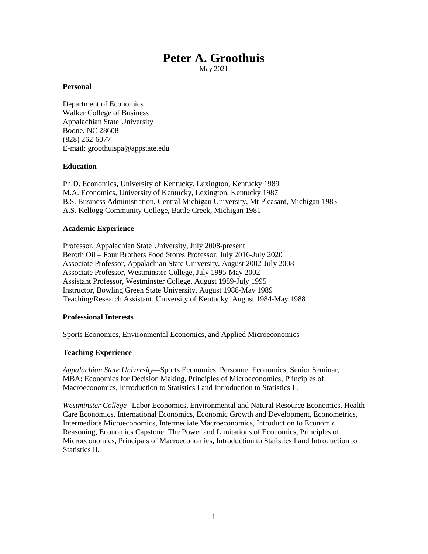# **Peter A. Groothuis**

May 2021

#### **Personal**

Department of Economics Walker College of Business Appalachian State University Boone, NC 28608 (828) 262-6077 E-mail: groothuispa@appstate.edu

#### **Education**

Ph.D. Economics, University of Kentucky, Lexington, Kentucky 1989 M.A. Economics, University of Kentucky, Lexington, Kentucky 1987 B.S. Business Administration, Central Michigan University, Mt Pleasant, Michigan 1983 A.S. Kellogg Community College, Battle Creek, Michigan 1981

#### **Academic Experience**

Professor, Appalachian State University, July 2008-present Beroth Oil – Four Brothers Food Stores Professor, July 2016-July 2020 Associate Professor, Appalachian State University, August 2002-July 2008 Associate Professor, Westminster College, July 1995-May 2002 Assistant Professor, Westminster College, August 1989-July 1995 Instructor, Bowling Green State University, August 1988-May 1989 Teaching/Research Assistant, University of Kentucky, August 1984-May 1988

#### **Professional Interests**

Sports Economics, Environmental Economics, and Applied Microeconomics

## **Teaching Experience**

*Appalachian State University—*Sports Economics, Personnel Economics, Senior Seminar, MBA: Economics for Decision Making, Principles of Microeconomics, Principles of Macroeconomics, Introduction to Statistics I and Introduction to Statistics II.

*Westminster College--*Labor Economics, Environmental and Natural Resource Economics, Health Care Economics, International Economics, Economic Growth and Development, Econometrics, Intermediate Microeconomics, Intermediate Macroeconomics, Introduction to Economic Reasoning, Economics Capstone: The Power and Limitations of Economics, Principles of Microeconomics, Principals of Macroeconomics, Introduction to Statistics I and Introduction to Statistics II.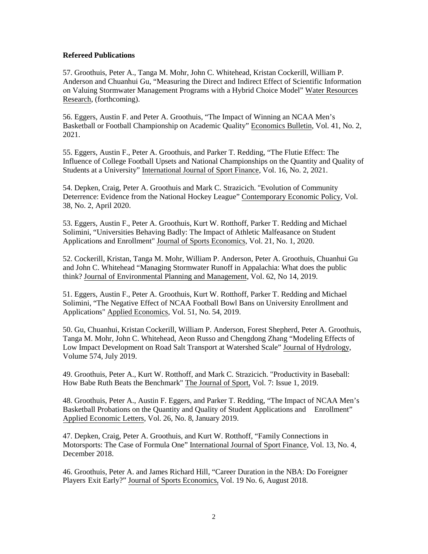#### **Refereed Publications**

57. Groothuis, Peter A., Tanga M. Mohr, John C. Whitehead, Kristan Cockerill, William P. Anderson and Chuanhui Gu, "Measuring the Direct and Indirect Effect of Scientific Information on Valuing Stormwater Management Programs with a Hybrid Choice Model" Water Resources Research, (forthcoming).

56. Eggers, Austin F. and Peter A. Groothuis, "The Impact of Winning an NCAA Men's Basketball or Football Championship on Academic Quality" Economics Bulletin, Vol. 41, No. 2, 2021.

55. Eggers, Austin F., Peter A. Groothuis, and Parker T. Redding, "The Flutie Effect: The Influence of College Football Upsets and National Championships on the Quantity and Quality of Students at a University" International Journal of Sport Finance, Vol. 16, No. 2, 2021.

54. Depken, Craig, Peter A. Groothuis and Mark C. Strazicich. "Evolution of Community Deterrence: Evidence from the National Hockey League" Contemporary Economic Policy, Vol. 38, No. 2, April 2020.

53. Eggers, Austin F., Peter A. Groothuis, Kurt W. Rotthoff, Parker T. Redding and Michael Solimini, "Universities Behaving Badly: The Impact of Athletic Malfeasance on Student Applications and Enrollment" Journal of Sports Economics, Vol. 21, No. 1, 2020.

52. Cockerill, Kristan, Tanga M. Mohr, William P. Anderson, Peter A. Groothuis, Chuanhui Gu and John C. Whitehead "Managing Stormwater Runoff in Appalachia: What does the public think? Journal of Environmental Planning and Management, Vol. 62, No 14, 2019.

51. Eggers, Austin F., Peter A. Groothuis, Kurt W. Rotthoff, Parker T. Redding and Michael Solimini, "The Negative Effect of NCAA Football Bowl Bans on University Enrollment and Applications" Applied Economics, Vol. 51, No. 54, 2019.

50. Gu, Chuanhui, Kristan Cockerill, William P. Anderson, Forest Shepherd, Peter A. Groothuis, Tanga M. Mohr, John C. Whitehead, Aeon Russo and Chengdong Zhang "Modeling Effects of Low Impact Development on Road Salt Transport at Watershed Scale" Journal of Hydrology, Volume 574, July 2019.

49. Groothuis, Peter A., Kurt W. Rotthoff, and Mark C. Strazicich. "Productivity in Baseball: How Babe Ruth Beats the Benchmark" The Journal of Sport, Vol. 7: Issue 1, 2019.

48. Groothuis, Peter A., Austin F. Eggers, and Parker T. Redding, "The Impact of NCAA Men's Basketball Probations on the Quantity and Quality of Student Applications and Enrollment" Applied Economic Letters, Vol. 26, No. 8, January 2019.

47. Depken, Craig, Peter A. Groothuis, and Kurt W. Rotthoff, "Family Connections in Motorsports: The Case of Formula One" International Journal of Sport Finance, Vol. 13, No. 4, December 2018.

46. Groothuis, Peter A. and James Richard Hill, "Career Duration in the NBA: Do Foreigner Players Exit Early?" Journal of Sports Economics, Vol. 19 No. 6, August 2018.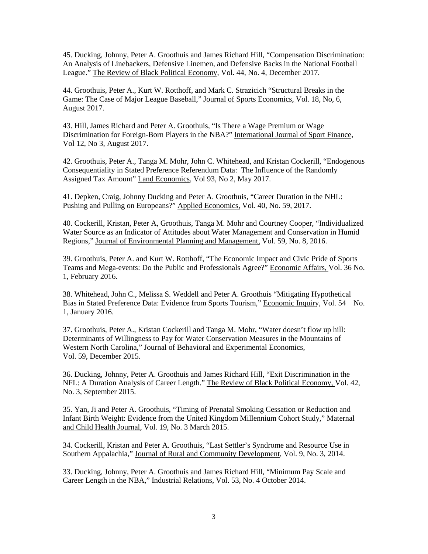45. Ducking, Johnny, Peter A. Groothuis and James Richard Hill, "Compensation Discrimination: An Analysis of Linebackers, Defensive Linemen, and Defensive Backs in the National Football League." The Review of Black Political Economy, Vol. 44, No. 4, December 2017.

44. Groothuis, Peter A., Kurt W. Rotthoff, and Mark C. Strazicich "Structural Breaks in the Game: The Case of Major League Baseball," Journal of Sports Economics, Vol. 18, No, 6, August 2017.

43. Hill, James Richard and Peter A. Groothuis, "Is There a Wage Premium or Wage Discrimination for Foreign-Born Players in the NBA?" International Journal of Sport Finance, Vol 12, No 3, August 2017.

42. Groothuis, Peter A., Tanga M. Mohr, John C. Whitehead, and Kristan Cockerill, "Endogenous Consequentiality in Stated Preference Referendum Data: The Influence of the Randomly Assigned Tax Amount" Land Economics, Vol 93, No 2, May 2017.

41. Depken, Craig, Johnny Ducking and Peter A. Groothuis, "Career Duration in the NHL: Pushing and Pulling on Europeans?" Applied Economics, Vol. 40, No. 59, 2017.

40. Cockerill, Kristan, Peter A, Groothuis, Tanga M. Mohr and Courtney Cooper, "Individualized Water Source as an Indicator of Attitudes about Water Management and Conservation in Humid Regions," Journal of Environmental Planning and Management, Vol. 59, No. 8, 2016.

39. Groothuis, Peter A. and Kurt W. Rotthoff, "The Economic Impact and Civic Pride of Sports Teams and Mega-events: Do the Public and Professionals Agree?" Economic Affairs, Vol. 36 No. 1, February 2016.

38. Whitehead, John C., Melissa S. Weddell and Peter A. Groothuis "Mitigating Hypothetical Bias in Stated Preference Data: Evidence from Sports Tourism," Economic Inquiry, Vol. 54 No. 1, January 2016.

37. Groothuis, Peter A., Kristan Cockerill and Tanga M. Mohr, "Water doesn't flow up hill: Determinants of Willingness to Pay for Water Conservation Measures in the Mountains of Western North Carolina," Journal of Behavioral and Experimental Economics, Vol. 59, December 2015.

36. Ducking, Johnny, Peter A. Groothuis and James Richard Hill, "Exit Discrimination in the NFL: A Duration Analysis of Career Length." The Review of Black Political Economy, Vol. 42, No. 3, September 2015.

35. Yan, Ji and Peter A. Groothuis, "Timing of Prenatal Smoking Cessation or Reduction and Infant Birth Weight: Evidence from the United Kingdom Millennium Cohort Study," Maternal and Child Health Journal, Vol. 19, No. 3 March 2015.

34. Cockerill, Kristan and Peter A. Groothuis, "Last Settler's Syndrome and Resource Use in Southern Appalachia," Journal of Rural and Community Development, Vol. 9, No. 3, 2014.

33. Ducking, Johnny, Peter A. Groothuis and James Richard Hill, "Minimum Pay Scale and Career Length in the NBA," Industrial Relations, Vol. 53, No. 4 October 2014.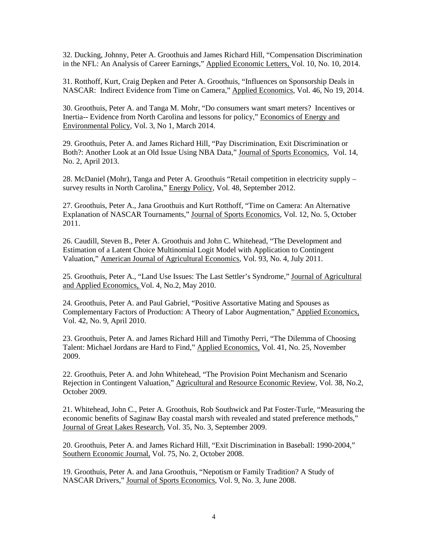32. Ducking, Johnny, Peter A. Groothuis and James Richard Hill, "Compensation Discrimination in the NFL: An Analysis of Career Earnings," Applied Economic Letters, Vol. 10, No. 10, 2014.

31. Rotthoff, Kurt, Craig Depken and Peter A. Groothuis, "Influences on Sponsorship Deals in NASCAR: Indirect Evidence from Time on Camera," Applied Economics, Vol. 46, No 19, 2014.

30. Groothuis, Peter A. and Tanga M. Mohr, "Do consumers want smart meters? Incentives or Inertia-- Evidence from North Carolina and lessons for policy," Economics of Energy and Environmental Policy, Vol. 3, No 1, March 2014.

29. Groothuis, Peter A. and James Richard Hill, "Pay Discrimination, Exit Discrimination or Both?: Another Look at an Old Issue Using NBA Data," Journal of Sports Economics, Vol. 14, No. 2, April 2013.

28. McDaniel (Mohr), Tanga and Peter A. Groothuis "Retail competition in electricity supply – survey results in North Carolina," Energy Policy, Vol. 48, September 2012.

27. Groothuis, Peter A., Jana Groothuis and Kurt Rotthoff, "Time on Camera: An Alternative Explanation of NASCAR Tournaments," Journal of Sports Economics, Vol. 12, No. 5, October 2011.

26. Caudill, Steven B., Peter A. Groothuis and John C. Whitehead, "The Development and Estimation of a Latent Choice Multinomial Logit Model with Application to Contingent Valuation," American Journal of Agricultural Economics, Vol. 93, No. 4, July 2011.

25. Groothuis, Peter A., "Land Use Issues: The Last Settler's Syndrome," Journal of Agricultural and Applied Economics, Vol. 4, No.2, May 2010.

24. Groothuis, Peter A. and Paul Gabriel, "Positive Assortative Mating and Spouses as Complementary Factors of Production: A Theory of Labor Augmentation," Applied Economics, Vol. 42, No. 9, April 2010.

23. Groothuis, Peter A. and James Richard Hill and Timothy Perri, "The Dilemma of Choosing Talent: Michael Jordans are Hard to Find," Applied Economics, Vol. 41, No. 25, November 2009.

22. Groothuis, Peter A. and John Whitehead, "The Provision Point Mechanism and Scenario Rejection in Contingent Valuation," Agricultural and Resource Economic Review, Vol. 38, No.2, October 2009.

21. Whitehead, John C., Peter A. Groothuis, Rob Southwick and Pat Foster-Turle, "Measuring the economic benefits of Saginaw Bay coastal marsh with revealed and stated preference methods," Journal of Great Lakes Research, Vol. 35, No. 3, September 2009.

20. Groothuis, Peter A. and James Richard Hill, "Exit Discrimination in Baseball: 1990-2004," Southern Economic Journal, Vol. 75, No. 2, October 2008.

19. Groothuis, Peter A. and Jana Groothuis, "Nepotism or Family Tradition? A Study of NASCAR Drivers," Journal of Sports Economics, Vol. 9, No. 3, June 2008.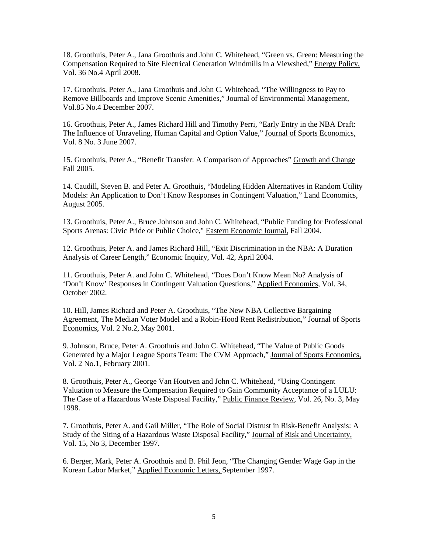18. Groothuis, Peter A., Jana Groothuis and John C. Whitehead, "Green vs. Green: Measuring the Compensation Required to Site Electrical Generation Windmills in a Viewshed," Energy Policy, Vol. 36 No.4 April 2008.

17. Groothuis, Peter A., Jana Groothuis and John C. Whitehead, "The Willingness to Pay to Remove Billboards and Improve Scenic Amenities," Journal of Environmental Management, Vol.85 No.4 December 2007.

16. Groothuis, Peter A., James Richard Hill and Timothy Perri, "Early Entry in the NBA Draft: The Influence of Unraveling, Human Capital and Option Value," Journal of Sports Economics, Vol. 8 No. 3 June 2007.

15. Groothuis, Peter A., "Benefit Transfer: A Comparison of Approaches" Growth and Change Fall 2005.

14. Caudill, Steven B. and Peter A. Groothuis, "Modeling Hidden Alternatives in Random Utility Models: An Application to Don't Know Responses in Contingent Valuation," Land Economics, August 2005.

13. Groothuis, Peter A., Bruce Johnson and John C. Whitehead, "Public Funding for Professional Sports Arenas: Civic Pride or Public Choice," Eastern Economic Journal, Fall 2004.

12. Groothuis, Peter A. and James Richard Hill, "Exit Discrimination in the NBA: A Duration Analysis of Career Length," Economic Inquiry, Vol. 42, April 2004.

11. Groothuis, Peter A. and John C. Whitehead, "Does Don't Know Mean No? Analysis of 'Don't Know' Responses in Contingent Valuation Questions," Applied Economics, Vol. 34, October 2002.

10. Hill, James Richard and Peter A. Groothuis, "The New NBA Collective Bargaining Agreement, The Median Voter Model and a Robin-Hood Rent Redistribution," Journal of Sports Economics, Vol. 2 No.2, May 2001.

9. Johnson, Bruce, Peter A. Groothuis and John C. Whitehead, "The Value of Public Goods Generated by a Major League Sports Team: The CVM Approach," Journal of Sports Economics, Vol. 2 No.1, February 2001.

8. Groothuis, Peter A., George Van Houtven and John C. Whitehead, "Using Contingent Valuation to Measure the Compensation Required to Gain Community Acceptance of a LULU: The Case of a Hazardous Waste Disposal Facility," Public Finance Review, Vol. 26, No. 3, May 1998.

7. Groothuis, Peter A. and Gail Miller, "The Role of Social Distrust in Risk-Benefit Analysis: A Study of the Siting of a Hazardous Waste Disposal Facility," Journal of Risk and Uncertainty, Vol. 15, No 3, December 1997.

6. Berger, Mark, Peter A. Groothuis and B. Phil Jeon, "The Changing Gender Wage Gap in the Korean Labor Market," Applied Economic Letters, September 1997.